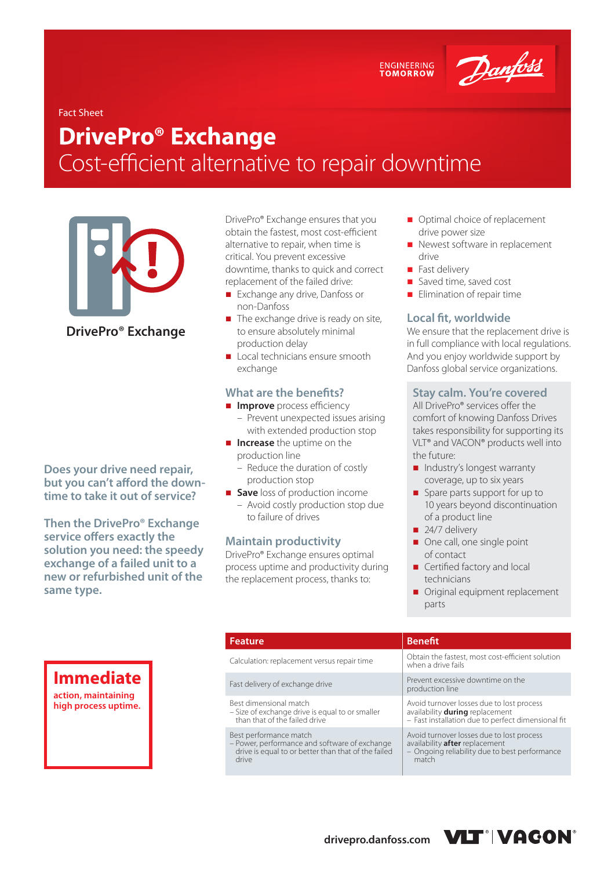ENGINEERING<br>TOMORROW

Danfoss

### Fact Sheet

# **DrivePro® Exchange**  Cost-efficient alternative to repair downtime

**DrivePro® Exchange**

**Does your drive need repair, but you can't afford the downtime to take it out of service?** 

**Then the DrivePro® Exchange service offers exactly the solution you need: the speedy exchange of a failed unit to a new or refurbished unit of the same type.**

DrivePro® Exchange ensures that you obtain the fastest, most cost-efficient alternative to repair, when time is critical. You prevent excessive downtime, thanks to quick and correct replacement of the failed drive:

- **Exchange any drive, Danfoss or** non-Danfoss
- The exchange drive is ready on site, to ensure absolutely minimal production delay
- Local technicians ensure smooth exchange

### **What are the benefits?**

- **Improve** process efficiency
	- Prevent unexpected issues arising with extended production stop
- **Increase** the uptime on the production line
	- Reduce the duration of costly production stop
- **Save** loss of production income – Avoid costly production stop due to failure of drives

### **Maintain productivity**

DrivePro® Exchange ensures optimal process uptime and productivity during the replacement process, thanks to:

- Optimal choice of replacement drive power size
- Newest software in replacement drive
- Fast delivery
- Saved time, saved cost
- $\blacksquare$  Elimination of repair time

### **Local fit, worldwide**

We ensure that the replacement drive is in full compliance with local regulations. And you enjoy worldwide support by Danfoss global service organizations.

### **Stay calm. You're covered**

All DrivePro® services offer the comfort of knowing Danfoss Drives takes responsibility for supporting its VLT® and VACON® products well into the future:

- Industry's longest warranty coverage, up to six years
- Spare parts support for up to 10 years beyond discontinuation of a product line
- $\Box$  24/7 delivery
- One call, one single point of contact
- Certified factory and local technicians
- Original equipment replacement parts

| <b>Feature</b>                                                                                                                          | <b>Benefit</b>                                                                                                                        |
|-----------------------------------------------------------------------------------------------------------------------------------------|---------------------------------------------------------------------------------------------------------------------------------------|
| Calculation: replacement versus repair time                                                                                             | Obtain the fastest, most cost-efficient solution<br>when a drive fails                                                                |
| Fast delivery of exchange drive                                                                                                         | Prevent excessive downtime on the<br>production line                                                                                  |
| Best dimensional match<br>- Size of exchange drive is equal to or smaller<br>than that of the failed drive                              | Avoid turnover losses due to lost process<br>availability during replacement<br>- Fast installation due to perfect dimensional fit    |
| Best performance match<br>- Power, performance and software of exchange<br>drive is equal to or better than that of the failed<br>drive | Avoid turnover losses due to lost process<br>availability after replacement<br>- Ongoing reliability due to best performance<br>match |

# **Immediate**

**action, maintaining high process uptime.**